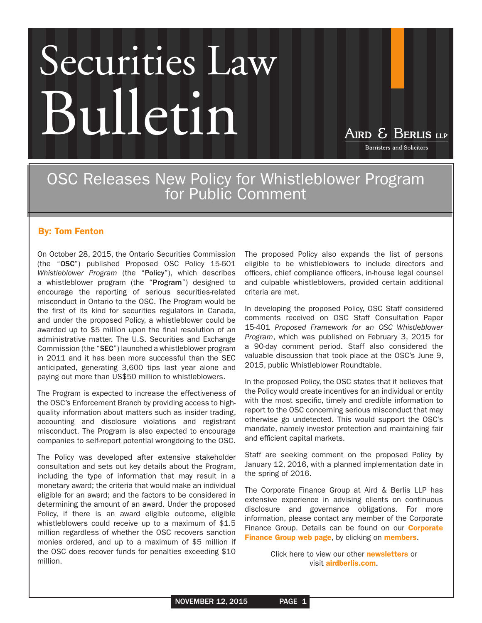## Securities Law Bulletin

AIRD & BERLIS LLP

**Barristers and Solicitors** 

OSC Releases New Policy for Whistleblower Program for Public Comment

## By: [Tom Fenton](http://www.airdberlis.com/bio/Thomas-A-Fenton)

On October 28, 2015, the Ontario Securities Commission (the "OSC") published Proposed OSC Policy 15-601 *Whistleblower Program* (the "Policy"), which describes a whistleblower program (the "Program") designed to encourage the reporting of serious securities-related misconduct in Ontario to the OSC. The Program would be the first of its kind for securities regulators in Canada, and under the proposed Policy, a whistleblower could be awarded up to \$5 million upon the final resolution of an administrative matter. The U.S. Securities and Exchange Commission (the "SEC") launched a whistleblower program in 2011 and it has been more successful than the SEC anticipated, generating 3,600 tips last year alone and paying out more than US\$50 million to whistleblowers.

The Program is expected to increase the effectiveness of the OSC's Enforcement Branch by providing access to highquality information about matters such as insider trading, accounting and disclosure violations and registrant misconduct. The Program is also expected to encourage companies to self-report potential wrongdoing to the OSC.

The Policy was developed after extensive stakeholder consultation and sets out key details about the Program, including the type of information that may result in a monetary award; the criteria that would make an individual eligible for an award; and the factors to be considered in determining the amount of an award. Under the proposed Policy, if there is an award eligible outcome, eligible whistleblowers could receive up to a maximum of \$1.5 million regardless of whether the OSC recovers sanction monies ordered, and up to a maximum of \$5 million if the OSC does recover funds for penalties exceeding \$10 million.

The proposed Policy also expands the list of persons eligible to be whistleblowers to include directors and officers, chief compliance officers, in-house legal counsel and culpable whistleblowers, provided certain additional criteria are met.

In developing the proposed Policy, OSC Staff considered comments received on OSC Staff Consultation Paper 15-401 *Proposed Framework for an OSC Whistleblower Program*, which was published on February 3, 2015 for a 90-day comment period. Staff also considered the valuable discussion that took place at the OSC's June 9, 2015, public Whistleblower Roundtable.

In the proposed Policy, the OSC states that it believes that the Policy would create incentives for an individual or entity with the most specific, timely and credible information to report to the OSC concerning serious misconduct that may otherwise go undetected. This would support the OSC's mandate, namely investor protection and maintaining fair and efficient capital markets.

Staff are seeking comment on the proposed Policy by January 12, 2016, with a planned implementation date in the spring of 2016.

The Corporate Finance Group at Aird & Berlis LLP has extensive experience in advising clients on continuous disclosure and governance obligations. For more information, please contact any member of the Corporate Finance Group. Details can be found on our **[Corporate](http://www.airdberlis.com/Templates/PracticesTeams/PracticesTeamsDetail.aspx?PracticesTeamsID=2&page=56)** [Finance Group web page](http://www.airdberlis.com/Templates/PracticesTeams/PracticesTeamsDetail.aspx?PracticesTeamsID=2&page=56), by clicking on [members](http://www.airdberlis.com/Templates/Lawyers/LawyerSearch.aspx?AppendPageTitle=Corporate+Finance&PracticesTeamsID=2&page=8).

> Click here to view our other **[newsletters](http://www.airdberlis.com/Templates/Newsletters/NewslettersList.aspx?page=13)** or visit [airdberlis.com](http://www.airdberlis.com/Templates/Home/Home.aspx?page=0).